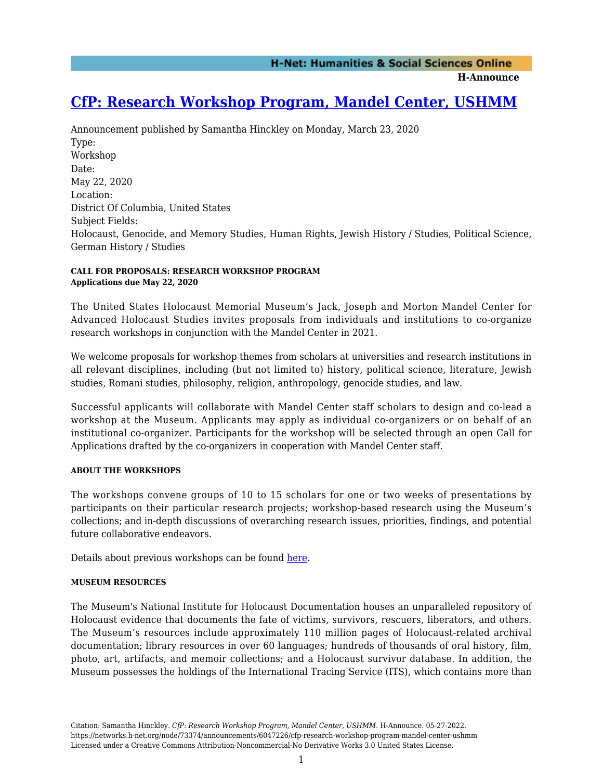**H-Announce** 

# **[CfP: Research Workshop Program, Mandel Center, USHMM](https://networks.h-net.org/node/73374/announcements/6047226/cfp-research-workshop-program-mandel-center-ushmm)**

Announcement published by Samantha Hinckley on Monday, March 23, 2020 Type: Workshop Date: May 22, 2020 Location: District Of Columbia, United States Subject Fields: Holocaust, Genocide, and Memory Studies, Human Rights, Jewish History / Studies, Political Science, German History / Studies

#### **CALL FOR PROPOSALS: RESEARCH WORKSHOP PROGRAM Applications due May 22, 2020**

The United States Holocaust Memorial Museum's Jack, Joseph and Morton Mandel Center for Advanced Holocaust Studies invites proposals from individuals and institutions to co-organize research workshops in conjunction with the Mandel Center in 2021.

We welcome proposals for workshop themes from scholars at universities and research institutions in all relevant disciplines, including (but not limited to) history, political science, literature, Jewish studies, Romani studies, philosophy, religion, anthropology, genocide studies, and law.

Successful applicants will collaborate with Mandel Center staff scholars to design and co-lead a workshop at the Museum. Applicants may apply as individual co-organizers or on behalf of an institutional co-organizer. Participants for the workshop will be selected through an open Call for Applications drafted by the co-organizers in cooperation with Mandel Center staff.

### **ABOUT THE WORKSHOPS**

The workshops convene groups of 10 to 15 scholars for one or two weeks of presentations by participants on their particular research projects; workshop-based research using the Museum's collections; and in-depth discussions of overarching research issues, priorities, findings, and potential future collaborative endeavors.

Details about previous workshops can be found [here](http://www.ushmm.org/past-workshops).

### **MUSEUM RESOURCES**

The Museum's National Institute for Holocaust Documentation houses an unparalleled repository of Holocaust evidence that documents the fate of victims, survivors, rescuers, liberators, and others. The Museum's resources include approximately 110 million pages of Holocaust-related archival documentation; library resources in over 60 languages; hundreds of thousands of oral history, film, photo, art, artifacts, and memoir collections; and a Holocaust survivor database. In addition, the Museum possesses the holdings of the International Tracing Service (ITS), which contains more than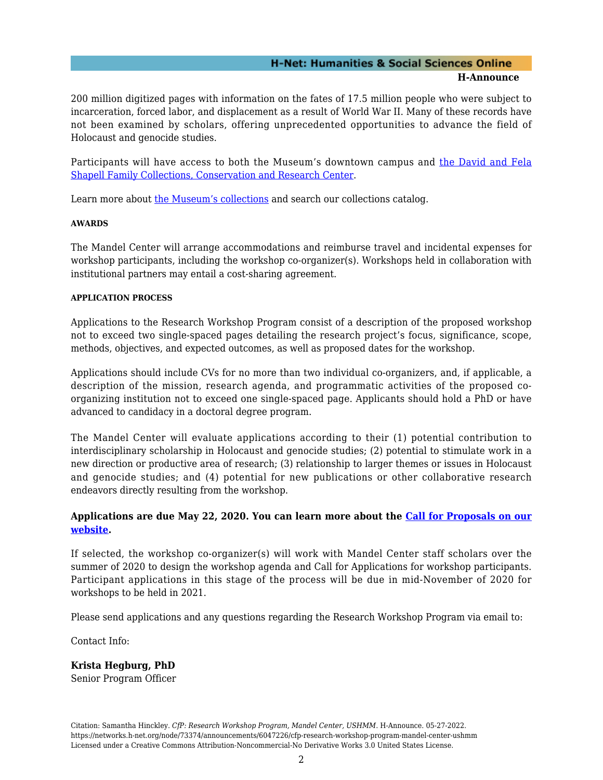#### **H-Net: Humanities & Social Sciences Online H-Announce**

200 million digitized pages with information on the fates of 17.5 million people who were subject to incarceration, forced labor, and displacement as a result of World War II. Many of these records have not been examined by scholars, offering unprecedented opportunities to advance the field of Holocaust and genocide studies.

Participants will have access to both the Museum's downtown campus and [the David and Fela](https://www.ushmm.org/collections/the-museums-collections/the-shapell-center) [Shapell Family Collections, Conservation and Research Center](https://www.ushmm.org/collections/the-museums-collections/the-shapell-center).

Learn more about [the Museum's collections](https://www.ushmm.org/collections/the-museums-collections/about/scope-and-nature-of-the-collections) and search our collections catalog.

#### **AWARDS**

The Mandel Center will arrange accommodations and reimburse travel and incidental expenses for workshop participants, including the workshop co-organizer(s). Workshops held in collaboration with institutional partners may entail a cost-sharing agreement.

#### **APPLICATION PROCESS**

Applications to the Research Workshop Program consist of a description of the proposed workshop not to exceed two single-spaced pages detailing the research project's focus, significance, scope, methods, objectives, and expected outcomes, as well as proposed dates for the workshop.

Applications should include CVs for no more than two individual co-organizers, and, if applicable, a description of the mission, research agenda, and programmatic activities of the proposed coorganizing institution not to exceed one single-spaced page. Applicants should hold a PhD or have advanced to candidacy in a doctoral degree program.

The Mandel Center will evaluate applications according to their (1) potential contribution to interdisciplinary scholarship in Holocaust and genocide studies; (2) potential to stimulate work in a new direction or productive area of research; (3) relationship to larger themes or issues in Holocaust and genocide studies; and (4) potential for new publications or other collaborative research endeavors directly resulting from the workshop.

## **Applications are due May 22, 2020. You can learn more about the [Call for Proposals on our](http://www.ushmm.org/research-workshops) [website](http://www.ushmm.org/research-workshops).**

If selected, the workshop co-organizer(s) will work with Mandel Center staff scholars over the summer of 2020 to design the workshop agenda and Call for Applications for workshop participants. Participant applications in this stage of the process will be due in mid-November of 2020 for workshops to be held in 2021.

Please send applications and any questions regarding the Research Workshop Program via email to:

Contact Info:

**Krista Hegburg, PhD** Senior Program Officer

Citation: Samantha Hinckley. *CfP: Research Workshop Program, Mandel Center, USHMM*. H-Announce. 05-27-2022. https://networks.h-net.org/node/73374/announcements/6047226/cfp-research-workshop-program-mandel-center-ushmm Licensed under a Creative Commons Attribution-Noncommercial-No Derivative Works 3.0 United States License.